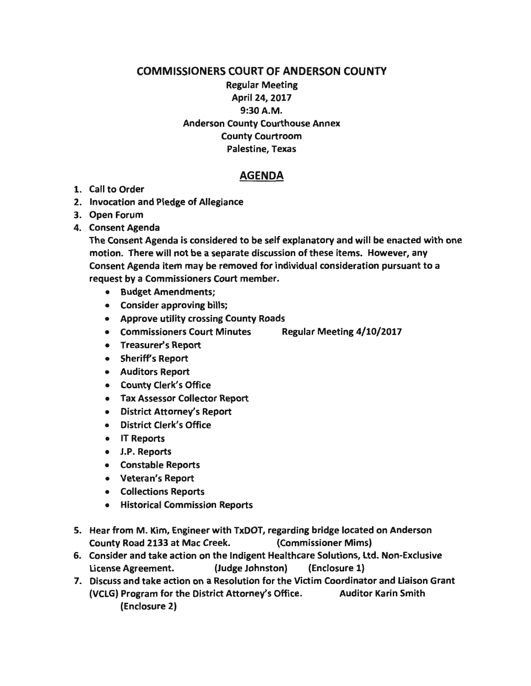### COMMISSIONERS COURT OF ANDERSON COUNTY

# Regular Meeting April 24, 2017 9:30A.M. Anderson County Courthouse Annex County Courtroom Palestine, Texas

## AGENDA

#### 1. Call to Order

- 2. Invocation and Pledge of Allegiance
- 3. Open Forum
- 4. Consent Agenda

The Consent Agenda is considered to be self explanatory and will be enacted with one motion. There will not be a separate discussion of these items. However, any Consent Agenda item may be removed for individual consideration pursuant to a request by a Commissioners Court member.

- Budget Amendments;
- Consider approving bills;
- Approve utility crossing County Roads
- Commissioners Court Minutes Regular Meeting 4/10/2017
- Treasurer's Report
- Sheriff's Report
- Auditors Report
- County Clerk's Office
- Tax Assessor Collector Report
- District Attorney's Report
- District Clerk's Office
- IT Reports
- J.P. Reports
- Constable Reports
- Veteran's Report
- Collections Reports
- Historical Commission Reports
- 5. Hear from M. Kim, Engineer with TxDOT, regarding bridge located on Anderson County Road 2133 at Mac Creek. (Commissioner Mims)
- 6. Consider and take action on the Indigent Healthcare Solutions, Ltd. Non-Exclusive License Agreement. (Judge Johnston) {Enclosure 1)
- 7. Discuss and take action on a Resolution for the Victim Coordinator and Liaison Grant {VCLG) Program for the District Attorney's Office. Auditor Karin Smith (Enclosure 2)